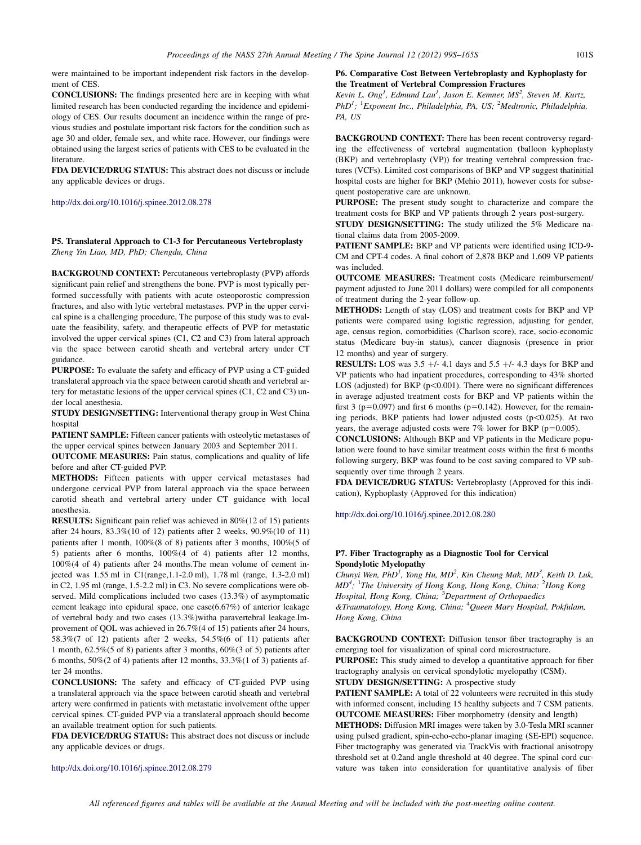were maintained to be important independent risk factors in the development of CES

CONCLUSIONS: The findings presented here are in keeping with what limited research has been conducted regarding the incidence and epidemiology of CES. Our results document an incidence within the range of previous studies and postulate important risk factors for the condition such as age 30 and older, female sex, and white race. However, our findings were obtained using the largest series of patients with CES to be evaluated in the literature.

FDA DEVICE/DRUG STATUS: This abstract does not discuss or include any applicable devices or drugs.

#### [http://dx.doi.org/10.1016/j.spinee.2012.08.278](http://dx.doi.org/10.1016/j.spinee.2012.08.281)

#### P5. Translateral Approach to C1-3 for Percutaneous Vertebroplasty Zheng Yin Liao, MD, PhD; Chengdu, China

BACKGROUND CONTEXT: Percutaneous vertebroplasty (PVP) affords significant pain relief and strengthens the bone. PVP is most typically performed successfully with patients with acute osteoporostic compression fractures, and also with lytic vertebral metastases. PVP in the upper cervical spine is a challenging procedure, The purpose of this study was to evaluate the feasibility, safety, and therapeutic effects of PVP for metastatic involved the upper cervical spines (C1, C2 and C3) from lateral approach via the space between carotid sheath and vertebral artery under CT guidance.

PURPOSE: To evaluate the safety and efficacy of PVP using a CT-guided translateral approach via the space between carotid sheath and vertebral artery for metastatic lesions of the upper cervical spines (C1, C2 and C3) under local anesthesia.

STUDY DESIGN/SETTING: Interventional therapy group in West China hospital

PATIENT SAMPLE: Fifteen cancer patients with osteolytic metastases of the upper cervical spines between January 2003 and September 2011.

OUTCOME MEASURES: Pain status, complications and quality of life before and after CT-guided PVP.

METHODS: Fifteen patients with upper cervical metastases had undergone cervical PVP from lateral approach via the space between carotid sheath and vertebral artery under CT guidance with local anesthesia.

RESULTS: Significant pain relief was achieved in 80%(12 of 15) patients after 24 hours, 83.3%(10 of 12) patients after 2 weeks, 90.9%(10 of 11) patients after 1 month, 100%(8 of 8) patients after 3 months, 100%(5 of 5) patients after 6 months, 100%(4 of 4) patients after 12 months, 100%(4 of 4) patients after 24 months.The mean volume of cement injected was 1.55 ml in C1(range,1.1-2.0 ml), 1.78 ml (range, 1.3-2.0 ml) in C2, 1.95 ml (range, 1.5-2.2 ml) in C3. No severe complications were observed. Mild complications included two cases (13.3%) of asymptomatic cement leakage into epidural space, one case(6.67%) of anterior leakage of vertebral body and two cases (13.3%)witha paravertebral leakage.Improvement of QOL was achieved in 26.7%(4 of 15) patients after 24 hours, 58.3%(7 of 12) patients after 2 weeks, 54.5%(6 of 11) patients after 1 month, 62.5%(5 of 8) patients after 3 months, 60%(3 of 5) patients after 6 months, 50%(2 of 4) patients after 12 months, 33.3%(1 of 3) patients after 24 months.

CONCLUSIONS: The safety and efficacy of CT-guided PVP using a translateral approach via the space between carotid sheath and vertebral artery were confirmed in patients with metastatic involvement ofthe upper cervical spines. CT-guided PVP via a translateral approach should become an available treatment option for such patients.

FDA DEVICE/DRUG STATUS: This abstract does not discuss or include any applicable devices or drugs.

<http://dx.doi.org/10.1016/j.spinee.2012.08.279>

#### P6. Comparative Cost Between Vertebroplasty and Kyphoplasty for the Treatment of Vertebral Compression Fractures

Kevin L.  $Ong<sup>1</sup>$ , Edmund Lau<sup>1</sup>, Jason E. Kemner, MS<sup>2</sup>, Steven M. Kurtz,  $PhD<sup>1</sup>$ ; <sup>1</sup>Exponent Inc., Philadelphia, PA, US; <sup>2</sup>Medtronic, Philadelphia, PA, US

BACKGROUND CONTEXT: There has been recent controversy regarding the effectiveness of vertebral augmentation (balloon kyphoplasty (BKP) and vertebroplasty (VP)) for treating vertebral compression fractures (VCFs). Limited cost comparisons of BKP and VP suggest thatinitial hospital costs are higher for BKP (Mehio 2011), however costs for subsequent postoperative care are unknown.

PURPOSE: The present study sought to characterize and compare the treatment costs for BKP and VP patients through 2 years post-surgery.

STUDY DESIGN/SETTING: The study utilized the 5% Medicare national claims data from 2005-2009.

PATIENT SAMPLE: BKP and VP patients were identified using ICD-9- CM and CPT-4 codes. A final cohort of 2,878 BKP and 1,609 VP patients was included.

OUTCOME MEASURES: Treatment costs (Medicare reimbursement/ payment adjusted to June 2011 dollars) were compiled for all components of treatment during the 2-year follow-up.

METHODS: Length of stay (LOS) and treatment costs for BKP and VP patients were compared using logistic regression, adjusting for gender, age, census region, comorbidities (Charlson score), race, socio-economic status (Medicare buy-in status), cancer diagnosis (presence in prior 12 months) and year of surgery.

**RESULTS:** LOS was  $3.5 +$ /- 4.1 days and  $5.5 +$ /- 4.3 days for BKP and VP patients who had inpatient procedures, corresponding to 43% shorted LOS (adjusted) for BKP ( $p$ <0.001). There were no significant differences in average adjusted treatment costs for BKP and VP patients within the first 3 ( $p=0.097$ ) and first 6 months ( $p=0.142$ ). However, for the remaining periods, BKP patients had lower adjusted costs  $(p<0.025)$ . At two years, the average adjusted costs were  $7\%$  lower for BKP (p=0.005).

CONCLUSIONS: Although BKP and VP patients in the Medicare population were found to have similar treatment costs within the first 6 months following surgery, BKP was found to be cost saving compared to VP subsequently over time through 2 years.

FDA DEVICE/DRUG STATUS: Vertebroplasty (Approved for this indication), Kyphoplasty (Approved for this indication)

<http://dx.doi.org/10.1016/j.spinee.2012.08.280>

## P7. Fiber Tractography as a Diagnostic Tool for Cervical Spondylotic Myelopathy

Chunyi Wen, PhD<sup>1</sup>, Yong Hu, MD<sup>2</sup>, Kin Cheung Mak, MD<sup>3</sup>, Keith D. Luk,  $MD^4$ ; <sup>1</sup>The University of Hong Kong, Hong Kong, China; <sup>2</sup>Hong Kong Hospital, Hong Kong, China; <sup>3</sup>Department of Orthopaedics &Traumatology, Hong Kong, China; <sup>4</sup>Queen Mary Hospital, Pokfulam, Hong Kong, China

BACKGROUND CONTEXT: Diffusion tensor fiber tractography is an emerging tool for visualization of spinal cord microstructure. PURPOSE: This study aimed to develop a quantitative approach for fiber tractography analysis on cervical spondylotic myelopathy (CSM). STUDY DESIGN/SETTING: A prospective study

PATIENT SAMPLE: A total of 22 volunteers were recruited in this study with informed consent, including 15 healthy subjects and 7 CSM patients. OUTCOME MEASURES: Fiber morphometry (density and length) METHODS: Diffusion MRI images were taken by 3.0-Tesla MRI scanner using pulsed gradient, spin-echo-echo-planar imaging (SE-EPI) sequence. Fiber tractography was generated via TrackVis with fractional anisotropy threshold set at 0.2and angle threshold at 40 degree. The spinal cord curvature was taken into consideration for quantitative analysis of fiber